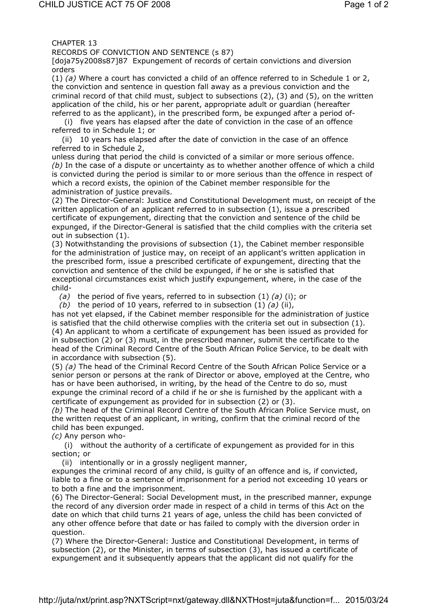CHAPTER 13

RECORDS OF CONVICTION AND SENTENCE (s 87)

[doja75y2008s87]87 Expungement of records of certain convictions and diversion orders

(1) *(a)* Where a court has convicted a child of an offence referred to in Schedule 1 or 2, the conviction and sentence in question fall away as a previous conviction and the criminal record of that child must, subject to subsections (2), (3) and (5), on the written application of the child, his or her parent, appropriate adult or guardian (hereafter referred to as the applicant), in the prescribed form, be expunged after a period of-

 (i) five years has elapsed after the date of conviction in the case of an offence referred to in Schedule 1; or

 (ii) 10 years has elapsed after the date of conviction in the case of an offence referred to in Schedule 2,

unless during that period the child is convicted of a similar or more serious offence. *(b)* In the case of a dispute or uncertainty as to whether another offence of which a child is convicted during the period is similar to or more serious than the offence in respect of which a record exists, the opinion of the Cabinet member responsible for the administration of justice prevails.

(2) The Director-General: Justice and Constitutional Development must, on receipt of the written application of an applicant referred to in subsection (1), issue a prescribed certificate of expungement, directing that the conviction and sentence of the child be expunged, if the Director-General is satisfied that the child complies with the criteria set out in subsection (1).

(3) Notwithstanding the provisions of subsection (1), the Cabinet member responsible for the administration of justice may, on receipt of an applicant's written application in the prescribed form, issue a prescribed certificate of expungement, directing that the conviction and sentence of the child be expunged, if he or she is satisfied that exceptional circumstances exist which justify expungement, where, in the case of the child-

*(a)* the period of five years, referred to in subsection (1) *(a)* (i); or

*(b)* the period of 10 years, referred to in subsection (1) *(a)* (ii),

has not yet elapsed, if the Cabinet member responsible for the administration of justice is satisfied that the child otherwise complies with the criteria set out in subsection (1). (4) An applicant to whom a certificate of expungement has been issued as provided for in subsection (2) or (3) must, in the prescribed manner, submit the certificate to the head of the Criminal Record Centre of the South African Police Service, to be dealt with in accordance with subsection (5).

(5) *(a)* The head of the Criminal Record Centre of the South African Police Service or a senior person or persons at the rank of Director or above, employed at the Centre, who has or have been authorised, in writing, by the head of the Centre to do so, must expunge the criminal record of a child if he or she is furnished by the applicant with a certificate of expungement as provided for in subsection (2) or (3).

*(b)* The head of the Criminal Record Centre of the South African Police Service must, on the written request of an applicant, in writing, confirm that the criminal record of the child has been expunged.

*(c)* Any person who-

 (i) without the authority of a certificate of expungement as provided for in this section; or

(ii) intentionally or in a grossly negligent manner,

expunges the criminal record of any child, is guilty of an offence and is, if convicted, liable to a fine or to a sentence of imprisonment for a period not exceeding 10 years or to both a fine and the imprisonment.

(6) The Director-General: Social Development must, in the prescribed manner, expunge the record of any diversion order made in respect of a child in terms of this Act on the date on which that child turns 21 years of age, unless the child has been convicted of any other offence before that date or has failed to comply with the diversion order in question.

(7) Where the Director-General: Justice and Constitutional Development, in terms of subsection (2), or the Minister, in terms of subsection (3), has issued a certificate of expungement and it subsequently appears that the applicant did not qualify for the